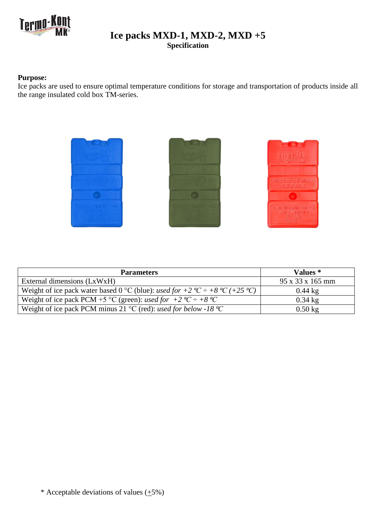

## **Ice packs MXD-1, MXD-2, MXD +5 Specification**

## **Purpose:**

Ice packs are used to ensure optimal temperature conditions for storage and transportation of products inside all the range insulated cold box TM-series.



| <b>Parameters</b>                                                                                             | Values *                     |
|---------------------------------------------------------------------------------------------------------------|------------------------------|
| External dimensions (LxWxH)                                                                                   | $95 \times 33 \times 165$ mm |
| Weight of ice pack water based 0 °C (blue): used for +2 °C ÷ +8 °C (+25 °C)                                   | $0.44 \text{ kg}$            |
| Weight of ice pack PCM +5 °C (green): used for +2 °C ÷ +8 °C                                                  | $0.34$ kg                    |
| Weight of ice pack PCM minus 21 $\rm{^{\circ}C}$ (red): <i>used for below -18 <math>\rm{^{\circ}C}</math></i> | $0.50$ kg                    |